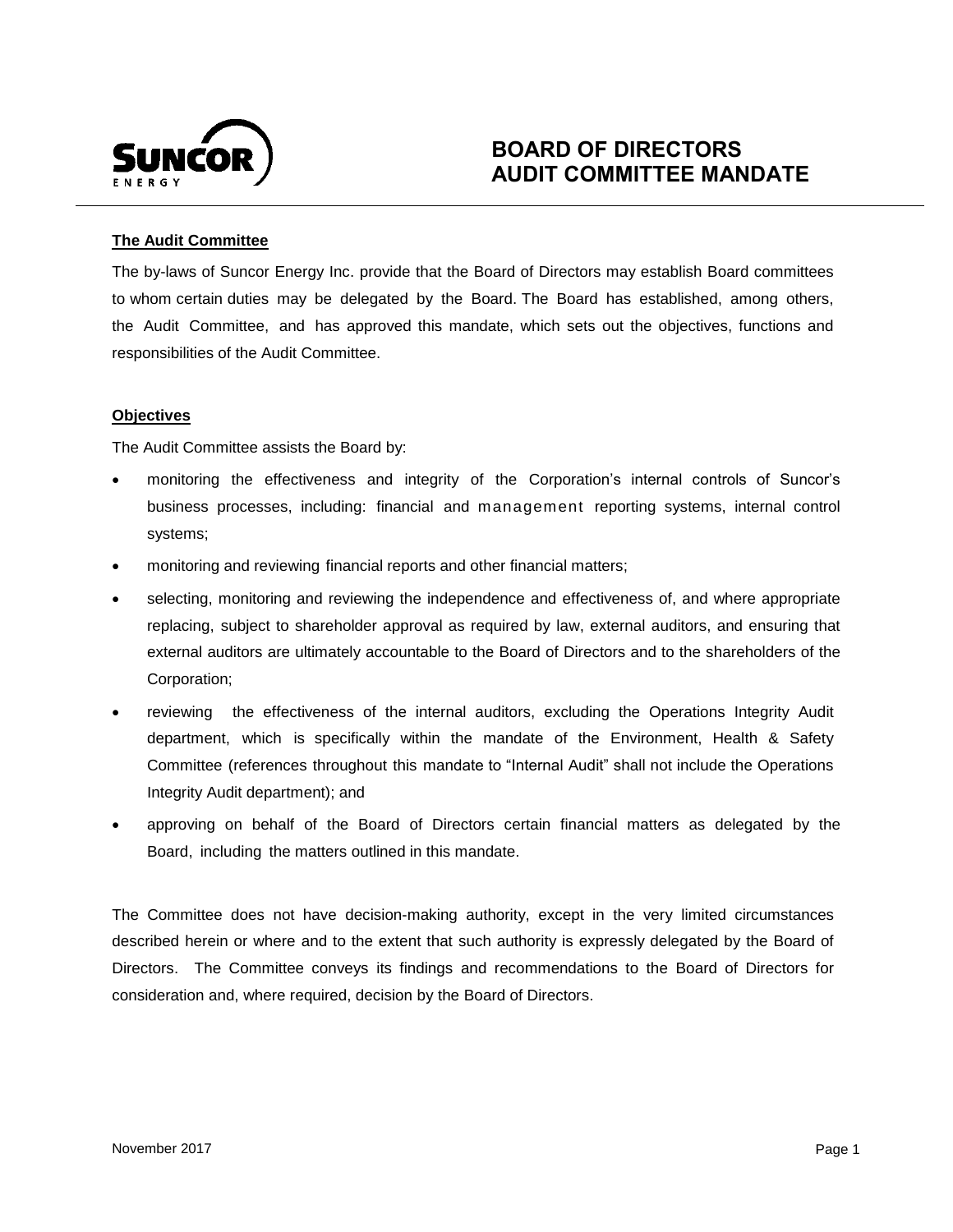

# **BOARD OF DIRECTORS AUDIT COMMITTEE MANDATE**

# **The Audit Committee**

 The by-laws of Suncor Energy Inc. provide that the Board of Directors may establish Board committees to whom certain duties may be delegated by the Board. The Board has established, among others, the Audit Committee, and has approved this mandate, which sets out the objectives, functions and responsibilities of the Audit Committee.

## **Objectives**

The Audit Committee assists the Board by:

- monitoring the effectiveness and integrity of the Corporation's internal controls of Suncor's business processes, including: financial and management reporting systems, internal control systems;
- monitoring and reviewing financial reports and other financial matters;
- selecting, monitoring and reviewing the independence and effectiveness of, and where appropriate replacing, subject to shareholder approval as required by law, external auditors, and ensuring that external auditors are ultimately accountable to the Board of Directors and to the shareholders of the Corporation;
- reviewing the effectiveness of the internal auditors, excluding the Operations Integrity Audit department, which is specifically within the mandate of the Environment, Health & Safety Committee (references throughout this mandate to "Internal Audit" shall not include the Operations Integrity Audit department); and
- approving on behalf of the Board of Directors certain financial matters as delegated by the Board, including the matters outlined in this mandate.

 The Committee does not have decision-making authority, except in the very limited circumstances described herein or where and to the extent that such authority is expressly delegated by the Board of Directors. The Committee conveys its findings and recommendations to the Board of Directors for consideration and, where required, decision by the Board of Directors.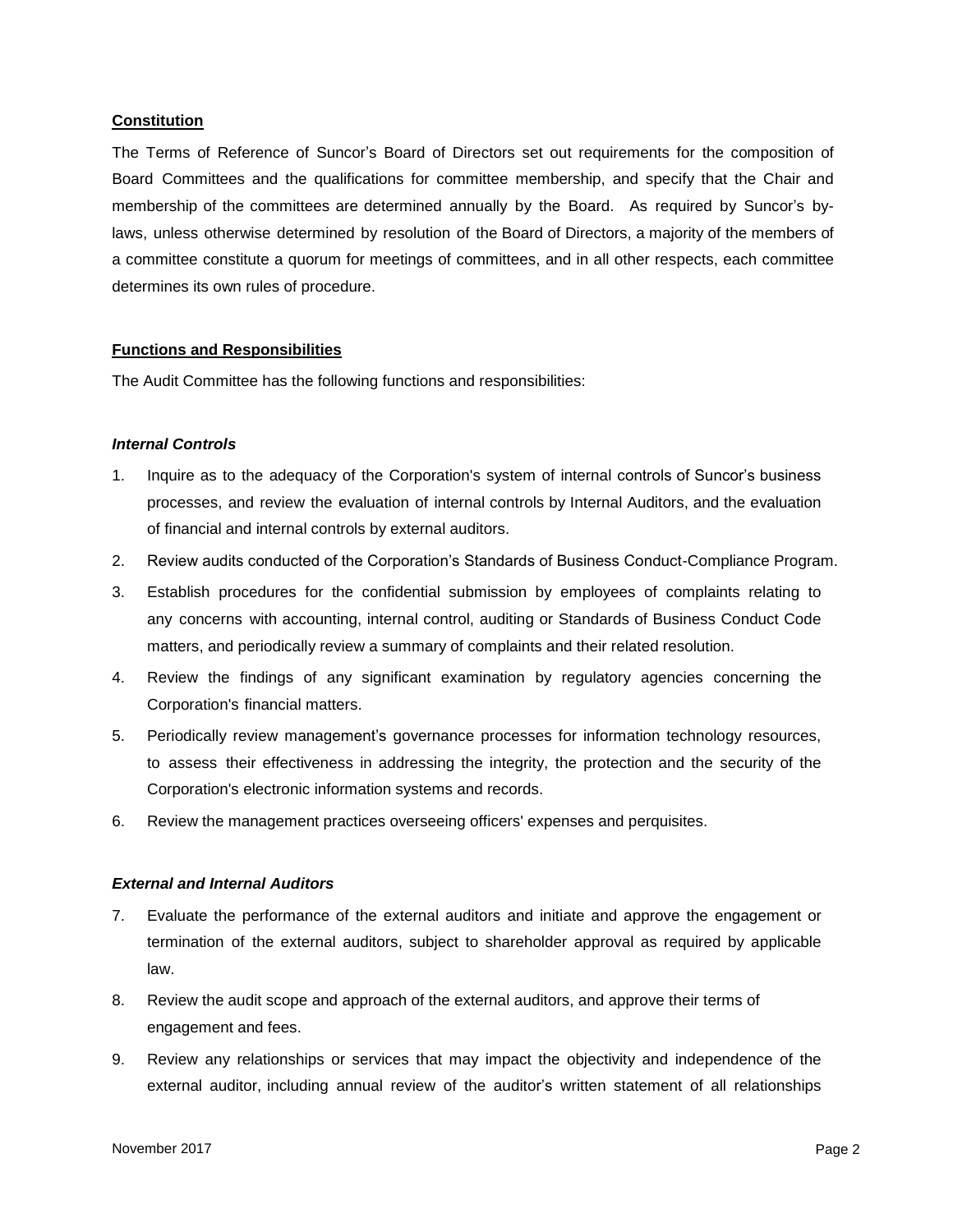## **Constitution**

 The Terms of Reference of Suncor's Board of Directors set out requirements for the composition of Board Committees and the qualifications for committee membership, and specify that the Chair and membership of the committees are determined annually by the Board. As required by Suncor's by- laws, unless otherwise determined by resolution of the Board of Directors, a majority of the members of a committee constitute a quorum for meetings of committees, and in all other respects, each committee determines its own rules of procedure.

## **Functions and Responsibilities**

The Audit Committee has the following functions and responsibilities:

#### *Internal Controls*

- $1.$  processes, and review the evaluation of internal controls by Internal Auditors, and the evaluation of financial and internal controls by external auditors. 1. Inquire as to the adequacy of the Corporation's system of internal controls of Suncor's business
- 2. Review audits conducted of the Corporation's Standards of Business Conduct-Compliance Program.
- 3. Establish procedures for the confidential submission by employees of complaints relating to any concerns with accounting, internal control, auditing or Standards of Business Conduct Code matters, and periodically review a summary of complaints and their related resolution.
- $4.$ Review the findings of any significant examination by regulatory agencies concerning the Corporation's financial matters.
- 5. Periodically review management's governance processes for information technology resources, to assess their effectiveness in addressing the integrity, the protection and the security of the Corporation's electronic information systems and records.
- 6. Review the management practices overseeing officers' expenses and perquisites.

#### *External and Internal Auditors*

- 7. Evaluate the performance of the external auditors and initiate and approve the engagement or termination of the external auditors, subject to shareholder approval as required by applicable law.
- 8. Review the audit scope and approach of the external auditors, and approve their terms of engagement and fees.
- 9. external auditor, including annual review of the auditor's written statement of all relationships Review any relationships or services that may impact the objectivity and independence of the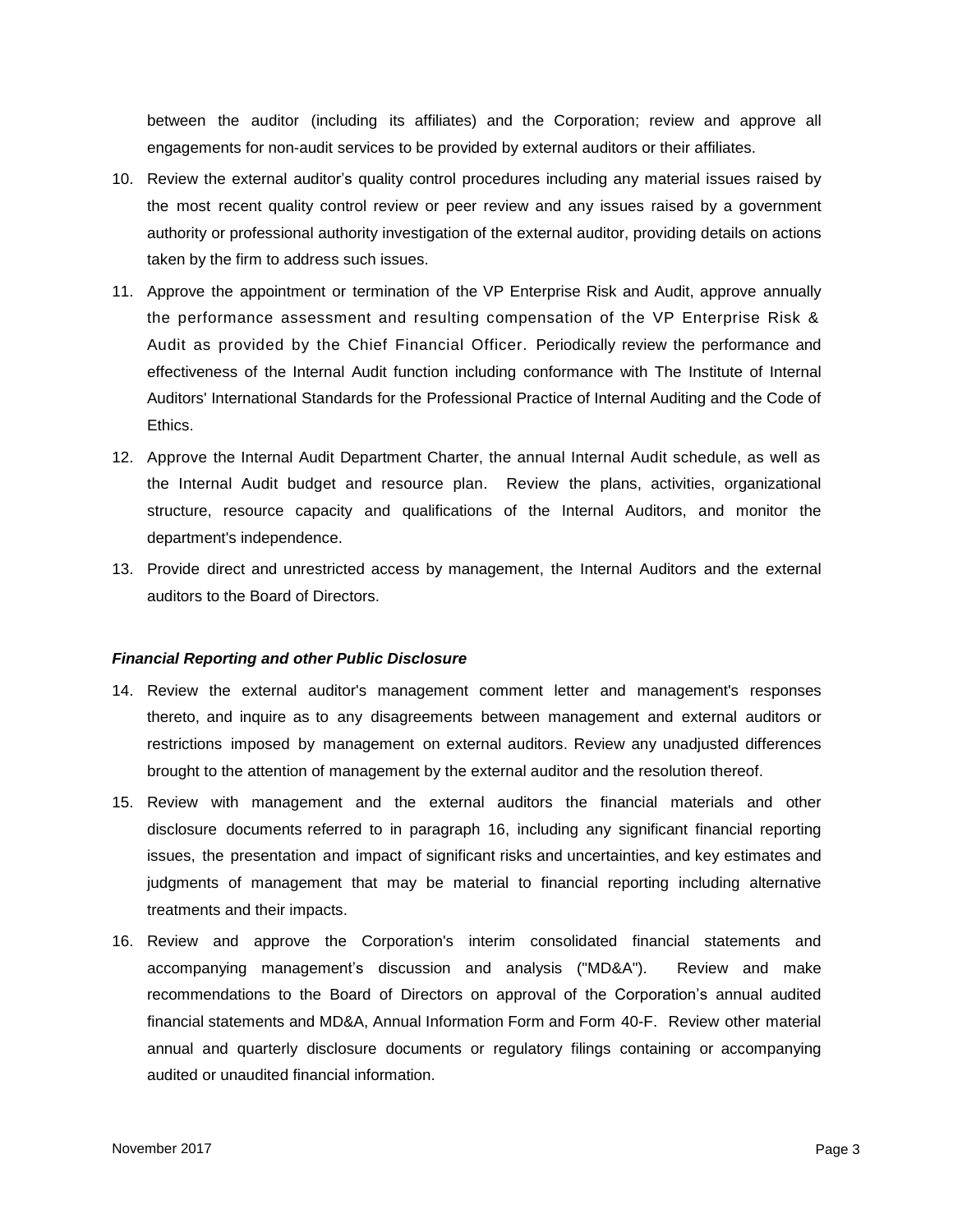between the auditor (including its affiliates) and the Corporation; review and approve all engagements for non-audit services to be provided by external auditors or their affiliates.

- 10. Review the external auditor's quality control procedures including any material issues raised by the most recent quality control review or peer review and any issues raised by a government authority or professional authority investigation of the external auditor, providing details on actions taken by the firm to address such issues.
- 11. Approve the appointment or termination of the VP Enterprise Risk and Audit, approve annually the performance assessment and resulting compensation of the VP Enterprise Risk & Audit as provided by the Chief Financial Officer. Periodically review the performance and effectiveness of the Internal Audit function including conformance with The Institute of Internal Auditors' International Standards for the Professional Practice of Internal Auditing and the Code of **Ethics**
- 12. Approve the Internal Audit Department Charter, the annual Internal Audit schedule, as well as the Internal Audit budget and resource plan. Review the plans, activities, organizational structure, resource capacity and qualifications of the Internal Auditors, and monitor the department's independence.
- 13. Provide direct and unrestricted access by management, the Internal Auditors and the external auditors to the Board of Directors.

## *Financial Reporting and other Public Disclosure*

- 14. Review the external auditor's management comment letter and management's responses thereto, and inquire as to any disagreements between management and external auditors or restrictions imposed by management on external auditors. Review any unadjusted differences brought to the attention of management by the external auditor and the resolution thereof.
- 15. Review with management and the external auditors the financial materials and other disclosure documents referred to in paragraph 16, including any significant financial reporting issues, the presentation and impact of significant risks and uncertainties, and key estimates and judgments of management that may be material to financial reporting including alternative treatments and their impacts.
- 16. Review and approve the Corporation's interim consolidated financial statements and accompanying management's discussion and analysis ("MD&A"). Review and make recommendations to the Board of Directors on approval of the Corporation's annual audited financial statements and MD&A, Annual Information Form and Form 40-F. Review other material annual and quarterly disclosure documents or regulatory filings containing or accompanying audited or unaudited financial information.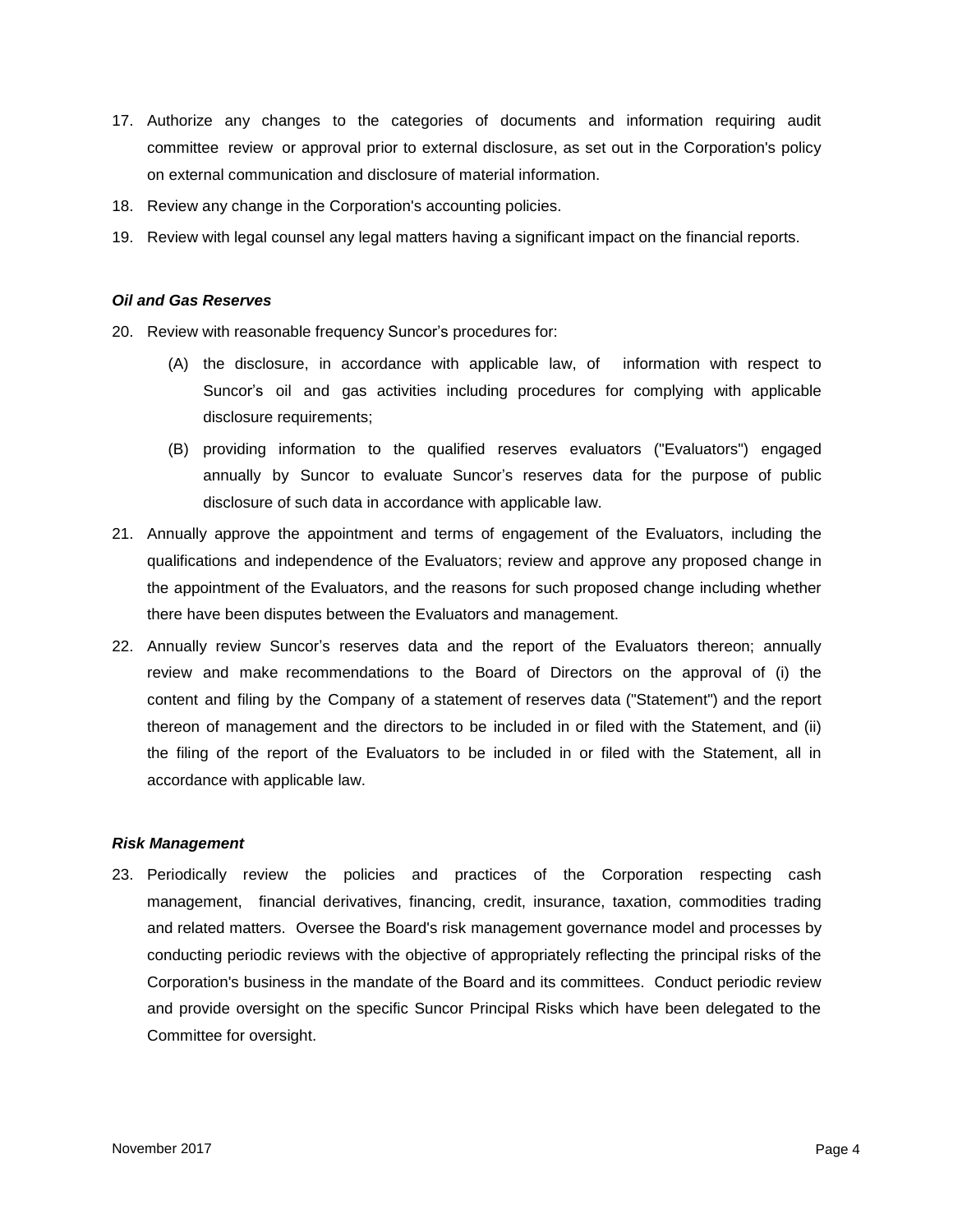- 17. Authorize any changes to the categories of documents and information requiring audit committee review or approval prior to external disclosure, as set out in the Corporation's policy on external communication and disclosure of material information.
- 18. Review any change in the Corporation's accounting policies.
- 19. Review with legal counsel any legal matters having a significant impact on the financial reports.

#### *Oil and Gas Reserves*

- 20. Review with reasonable frequency Suncor's procedures for:
	- (A) the disclosure, in accordance with applicable law, of information with respect to Suncor's oil and gas activities including procedures for complying with applicable disclosure requirements;
	- (B) providing information to the qualified reserves evaluators ("Evaluators") engaged annually by Suncor to evaluate Suncor's reserves data for the purpose of public disclosure of such data in accordance with applicable law.
- 21. Annually approve the appointment and terms of engagement of the Evaluators, including the qualifications and independence of the Evaluators; review and approve any proposed change in the appointment of the Evaluators, and the reasons for such proposed change including whether there have been disputes between the Evaluators and management.
- 22. Annually review Suncor's reserves data and the report of the Evaluators thereon; annually review and make recommendations to the Board of Directors on the approval of (i) the content and filing by the Company of a statement of reserves data ("Statement") and the report thereon of management and the directors to be included in or filed with the Statement, and (ii) the filing of the report of the Evaluators to be included in or filed with the Statement, all in accordance with applicable law.

#### *Risk Management*

 23. Periodically review the policies and practices of the Corporation respecting cash management, financial derivatives, financing, credit, insurance, taxation, commodities trading and related matters. Oversee the Board's risk management governance model and processes by conducting periodic reviews with the objective of appropriately reflecting the principal risks of the Corporation's business in the mandate of the Board and its committees. Conduct periodic review and provide oversight on the specific Suncor Principal Risks which have been delegated to the Committee for oversight.